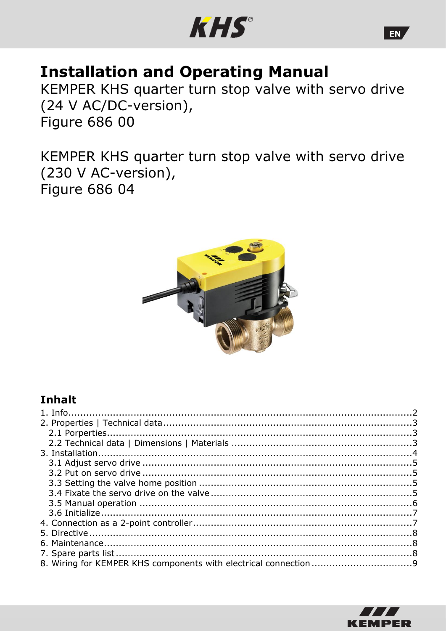

# **Installation and Operating Manual**

KEMPER KHS quarter turn stop valve with servo drive (24 V AC/DC-version), **Figure 686 00** 

KEMPER KHS quarter turn stop valve with servo drive (230 V AC-version), Figure 686 04



## **Inhalt**



EN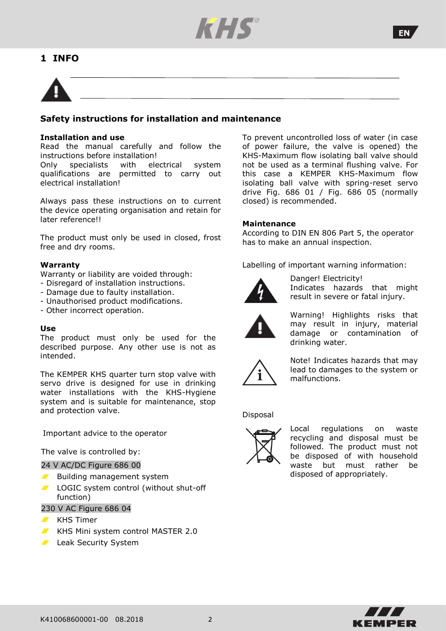

### **1 INFO**



#### **Safety instructions for installation and maintenance**

#### **Installation and use**

Read the manual carefully and follow the instructions before installation!

Only specialists with electrical system qualifications are permitted to carry out electrical installation!

Always pass these instructions on to current the device operating organisation and retain for later reference!!

The product must only be used in closed, frost free and dry rooms.

#### **Warranty**

Warranty or liability are voided through:

- Disregard of installation instructions.
- Damage due to faulty installation.
- Unauthorised product modifications.
- Other incorrect operation.

#### **Use**

The product must only be used for the described purpose. Any other use is not as intended.

The KEMPER KHS quarter turn stop valve with servo drive is designed for use in drinking water installations with the KHS-Hygiene system and is suitable for maintenance, stop and protection valve.

Important advice to the operator

The valve is controlled by:

#### 24 V AC/DC Figure 686 00

- Building management system  $\blacksquare$
- LOGIC system control (without shut-off function)

#### 230 V AC Figure 686 04

- $\blacksquare$  KHS Timer
- KHS Mini system control MASTER 2.0
- **Leak Security System**

To prevent uncontrolled loss of water (in case of power failure, the valve is opened) the KHS-Maximum flow isolating ball valve should not be used as a terminal flushing valve. For this case a KEMPER KHS-Maximum flow isolating ball valve with spring-reset servo drive Fig. 686 01 / Fig. 686 05 (normally closed) is recommended.

#### **Maintenance**

According to DIN EN 806 Part 5, the operator has to make an annual inspection.

Labelling of important warning information:



Danger! Electricity! Indicates hazards that might result in severe or fatal injury.



Warning! Highlights risks that may result in injury, material damage or contamination of drinking water.



Note! Indicates hazards that may lead to damages to the system or malfunctions.

#### Disposal



Local regulations on waste recycling and disposal must be followed. The product must not be disposed of with household waste but must rather be disposed of appropriately.

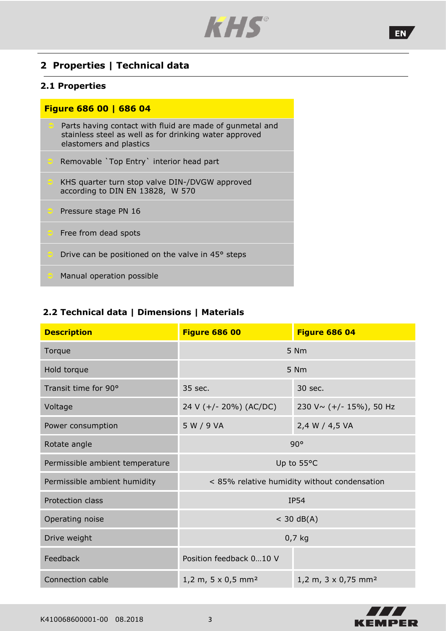<span id="page-2-0"></span>

### **2 Properties | Technical data**

#### **2.1 Properties**

### **Figure 686 00 | 686 04**

- Parts having contact with fluid are made of gunmetal and stainless steel as well as for drinking water approved elastomers and plastics Removable `Top Entry` interior head part
- KHS quarter turn stop valve DIN-/DVGW approved according to DIN EN 13828, W 570
- Pressure stage PN 16
- Free from dead spots
- Drive can be positioned on the valve in 45° steps
- Manual operation possible

### **2.2 Technical data | Dimensions | Materials**

| <b>Description</b>              | <b>Figure 686 00</b>                                                     | <b>Figure 686 04</b>    |  |
|---------------------------------|--------------------------------------------------------------------------|-------------------------|--|
| Torque                          | 5 Nm                                                                     |                         |  |
| Hold torque                     | 5 Nm                                                                     |                         |  |
| Transit time for 90°            | 35 sec.<br>30 sec.                                                       |                         |  |
| Voltage                         | 24 V (+/- 20%) (AC/DC)                                                   | 230 V~ (+/- 15%), 50 Hz |  |
| Power consumption               | 5 W / 9 VA                                                               | 2,4 W / 4,5 VA          |  |
| Rotate angle                    | 90°                                                                      |                         |  |
| Permissible ambient temperature | Up to 55°C                                                               |                         |  |
| Permissible ambient humidity    | < 85% relative humidity without condensation                             |                         |  |
| Protection class                | <b>IP54</b>                                                              |                         |  |
| Operating noise                 | $<$ 30 dB(A)                                                             |                         |  |
| Drive weight                    | $0,7$ kg                                                                 |                         |  |
| Feedback                        | Position feedback 010 V                                                  |                         |  |
| Connection cable                | 1,2 m, 5 x 0,5 mm <sup>2</sup><br>1,2 m, $3 \times 0,75$ mm <sup>2</sup> |                         |  |



EN,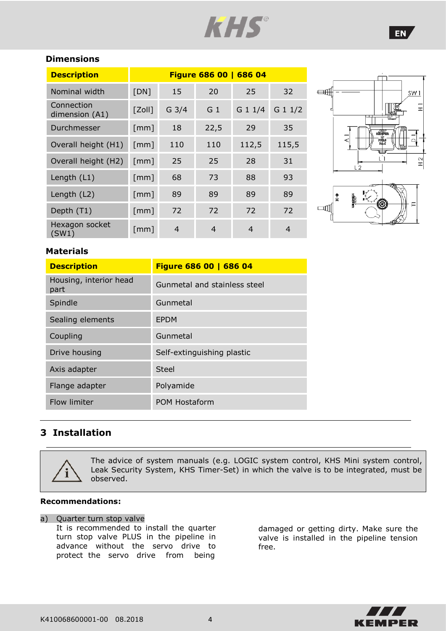

### **Dimensions**

| <b>Description</b>           | Figure 686 00   686 04 |         |                |           |          |
|------------------------------|------------------------|---------|----------------|-----------|----------|
| Nominal width                | [DN]                   | 15      | 20             | 25        | 32       |
| Connection<br>dimension (A1) | $[Z$ oll $]$           | $G$ 3/4 | G <sub>1</sub> | $G$ 1 1/4 | $G_11/2$ |
| Durchmesser                  | $\lceil mm \rceil$     | 18      | 22,5           | 29        | 35       |
| Overall height (H1)          | $\lceil mm \rceil$     | 110     | 110            | 112,5     | 115,5    |
| Overall height (H2)          | $\lceil mm \rceil$     | 25      | 25             | 28        | 31       |
| Length (L1)                  | [mm]                   | 68      | 73             | 88        | 93       |
| Length (L2)                  | $\lceil mm \rceil$     | 89      | 89             | 89        | 89       |
| Depth (T1)                   | $\lceil mm \rceil$     | 72      | 72             | 72        | 72       |
| Hexagon socket<br>(SW1)      | $\lceil mm \rceil$     | 4       | 4              | 4         | 4        |



### **Materials**

| <b>Description</b>             | Figure 686 00   686 04       |
|--------------------------------|------------------------------|
| Housing, interior head<br>part | Gunmetal and stainless steel |
| Spindle                        | Gunmetal                     |
| Sealing elements               | <b>EPDM</b>                  |
| Coupling                       | Gunmetal                     |
| Drive housing                  | Self-extinguishing plastic   |
| Axis adapter                   | Steel                        |
| Flange adapter                 | Polyamide                    |
| Flow limiter                   | POM Hostaform                |

### <span id="page-3-0"></span>**3 Installation**



The advice of system manuals (e.g. LOGIC system control, KHS Mini system control, Leak Security System, KHS Timer-Set) in which the valve is to be integrated, must be observed.

#### **Recommendations:**

#### a) Quarter turn stop valve

It is recommended to install the quarter turn stop valve PLUS in the pipeline in advance without the servo drive to protect the servo drive from being

damaged or getting dirty. Make sure the valve is installed in the pipeline tension free.

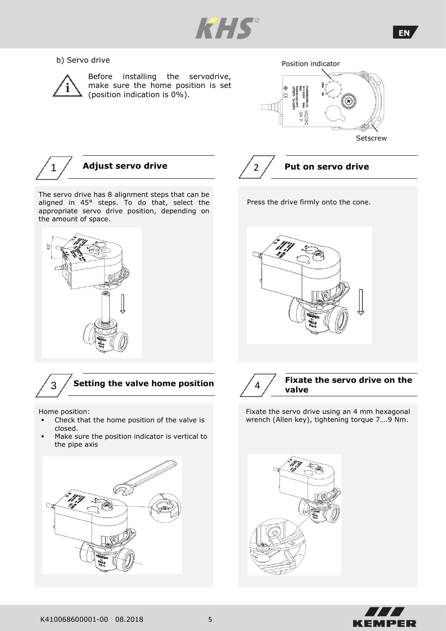

#### b) Servo drive



Before installing the servodrive, make sure the home position is set (position indication is 0%).





**Setscrew** 



The servo drive has 8 alignment steps that can be aligned in 45° steps. To do that, select the appropriate servo drive position, depending on the amount of space.





Home position:

- Check that the home position of the valve is closed.
- Make sure the position indicator is vertical to the pipe axis





Press the drive firmly onto the cone.





#### **Fixate the servo drive on the valve**

Fixate the servo drive using an 4 mm hexagonal wrench (Allen key), tightening torque 7….9 Nm.



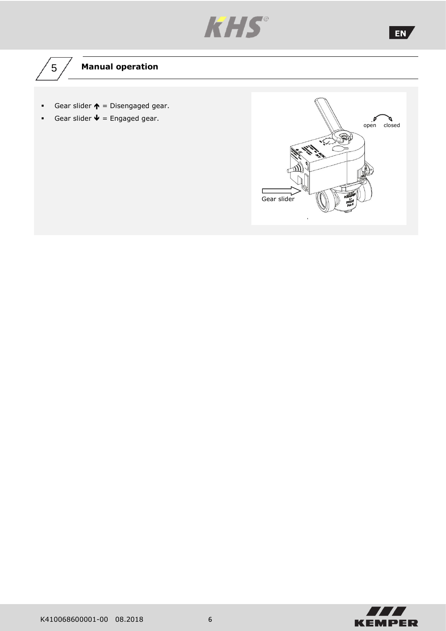

# $\sqrt{5/4}$  Manual operation

- **•** Gear slider  $\uparrow$  = Disengaged gear.
- **•** Gear slider  $\mathbf{\Psi} =$  Engaged gear.





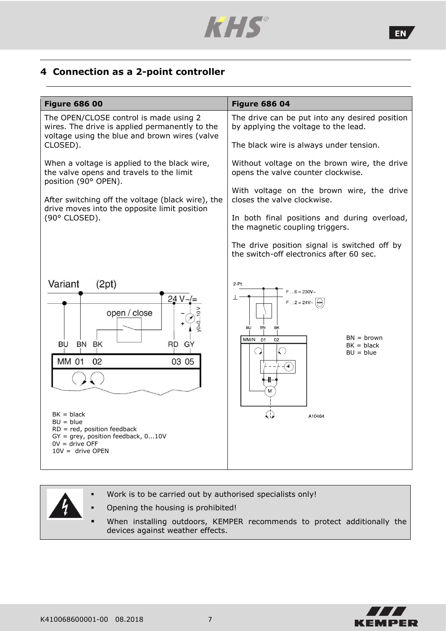

### **4 Connection as a 2-point controller**

| <b>Figure 686 00</b>                                                                                                                                                                                                                                   | <b>Figure 686 04</b>                                                                                                                                                                             |  |  |
|--------------------------------------------------------------------------------------------------------------------------------------------------------------------------------------------------------------------------------------------------------|--------------------------------------------------------------------------------------------------------------------------------------------------------------------------------------------------|--|--|
| The OPEN/CLOSE control is made using 2<br>wires. The drive is applied permanently to the<br>voltage using the blue and brown wires (valve                                                                                                              | The drive can be put into any desired position<br>by applying the voltage to the lead.                                                                                                           |  |  |
| CLOSED).                                                                                                                                                                                                                                               | The black wire is always under tension.                                                                                                                                                          |  |  |
| When a voltage is applied to the black wire,<br>the valve opens and travels to the limit<br>position (90° OPEN).                                                                                                                                       | Without voltage on the brown wire, the drive<br>opens the valve counter clockwise.                                                                                                               |  |  |
| After switching off the voltage (black wire), the                                                                                                                                                                                                      | With voltage on the brown wire, the drive<br>closes the valve clockwise.                                                                                                                         |  |  |
| drive moves into the opposite limit position<br>(90° CLOSED).                                                                                                                                                                                          | In both final positions and during overload,<br>the magnetic coupling triggers.                                                                                                                  |  |  |
|                                                                                                                                                                                                                                                        | The drive position signal is switched off by<br>the switch-off electronics after 60 sec.                                                                                                         |  |  |
| Variant<br>(2pt)<br>24 V-<br>open / close<br>BN BK<br>RD GY<br>BU<br><b>MM 01</b><br>03 05<br>02<br>$BK = black$<br>$BU = blue$<br>$RD = red$ , position feedback<br>$GY = grey$ , position feedback, $010V$<br>$0V =$ drive OFF<br>$10V =$ drive OPEN | $2-Pt$<br>$F = 0 = 230V -$<br>⊥<br>$F = 2 = 24V -$<br><b>BU</b><br><b>BN</b><br><b>BK</b><br>$BN = brown$<br>MM/N<br>01<br>02<br>$BK = black$<br>$\bigcirc$<br>(၂)<br>$BU = blue$<br>⊕<br>A10464 |  |  |

- Work is to be carried out by authorised specialists only!
- Opening the housing is prohibited!
- When installing outdoors, KEMPER recommends to protect additionally the devices against weather effects.

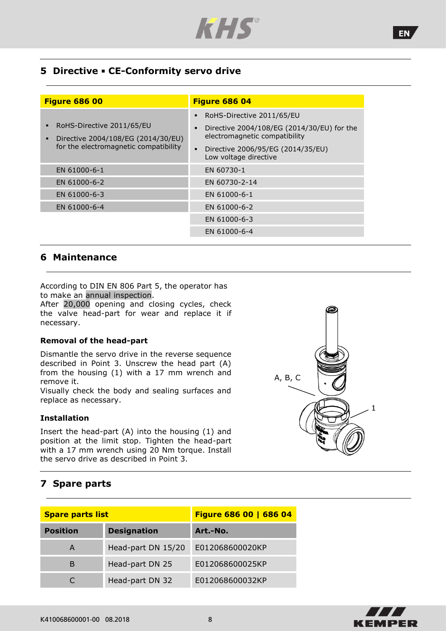

### **5 Directive** ▪ **CE-Conformity servo drive**

| <b>Figure 686 00</b>                                                                                               | <b>Figure 686 04</b>                                                        |  |  |
|--------------------------------------------------------------------------------------------------------------------|-----------------------------------------------------------------------------|--|--|
|                                                                                                                    | RoHS-Directive 2011/65/EU                                                   |  |  |
| RoHS-Directive 2011/65/EU<br>п<br>Directive 2004/108/EG (2014/30/EU)<br>п<br>for the electromagnetic compatibility | Directive 2004/108/EG (2014/30/EU) for the<br>electromagnetic compatibility |  |  |
|                                                                                                                    | Directive 2006/95/EG (2014/35/EU)<br>Low voltage directive                  |  |  |
| EN 61000-6-1                                                                                                       | EN 60730-1                                                                  |  |  |
| EN 61000-6-2                                                                                                       | EN 60730-2-14                                                               |  |  |
| EN 61000-6-3                                                                                                       | EN 61000-6-1                                                                |  |  |
| EN 61000-6-4                                                                                                       | EN 61000-6-2                                                                |  |  |
|                                                                                                                    | EN 61000-6-3                                                                |  |  |
|                                                                                                                    | EN 61000-6-4                                                                |  |  |

#### **6 Maintenance**

According to DIN EN 806 Part 5, the operator has to make an annual inspection.

After 20,000 opening and closing cycles, check the valve head-part for wear and replace it if necessary.

#### **Removal of the head-part**

Dismantle the servo drive in the reverse sequence described in Point 3. Unscrew the head part (A) from the housing (1) with a 17 mm wrench and remove it.

Visually check the body and sealing surfaces and replace as necessary.

#### **Installation**

Insert the head-part (A) into the housing (1) and position at the limit stop. Tighten the head-part with a 17 mm wrench using 20 Nm torque. Install the servo drive as described in Point 3.

### **7 Spare parts**

| <b>Spare parts list</b> |                    | Figure 686 00   686 04 |  |  |
|-------------------------|--------------------|------------------------|--|--|
| <b>Position</b>         | <b>Designation</b> | Art.-No.               |  |  |
| A                       | Head-part DN 15/20 | E012068600020KP        |  |  |
| B                       | Head-part DN 25    | E012068600025KP        |  |  |
|                         | Head-part DN 32    | E012068600032KP        |  |  |





EN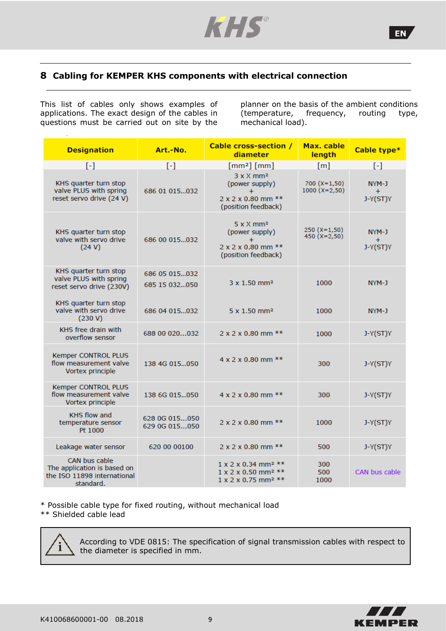

### **8 Cabling for KEMPER KHS components with electrical connection**

This list of cables only shows examples of applications. The exact design of the cables in questions must be carried out on site by the

planner on the basis of the ambient conditions (temperature, frequency, routing type, mechanical load).

| <b>Designation</b>                                                                       | Art.-No.                       | <b>Cable cross-section /</b><br>diameter                                                                               | Max. cable<br>length              | Cable type*                |
|------------------------------------------------------------------------------------------|--------------------------------|------------------------------------------------------------------------------------------------------------------------|-----------------------------------|----------------------------|
| $\lbrack - \rbrack$                                                                      | $[-]$                          | [mm <sup>2</sup> ] [mm]                                                                                                | [m]                               | $\left[ -\right]$          |
| KHS quarter turn stop<br>valve PLUS with spring<br>reset servo drive (24 V)              | 686 01 015032                  | $3 \times X$ mm <sup>2</sup><br>(power supply)<br>$\ddot{}$<br>$2 \times 2 \times 0.80$ mm $**$<br>(position feedback) | $700 (X=1,50)$<br>$1000 (X=2,50)$ | NYM-J<br>$+$<br>$J-Y(ST)Y$ |
| KHS quarter turn stop<br>valve with servo drive<br>(24 V)                                | 686 00 015  032                | $5 \times X$ mm <sup>2</sup><br>(power supply)<br>$+$<br>$2 \times 2 \times 0.80$ mm $**$<br>(position feedback)       | $250 (X=1,50)$<br>450 $(X=2,50)$  | NYM-J<br>$+$<br>$J-Y(ST)Y$ |
| KHS quarter turn stop<br>valve PLUS with spring<br>reset servo drive (230V)              | 686 05 015032<br>685 15 032050 | $3 \times 1.50$ mm <sup>2</sup>                                                                                        | 1000                              | NYM-J                      |
| KHS quarter turn stop<br>valve with servo drive<br>(230 V)                               | 686 04 015  032                | $5 \times 1.50$ mm <sup>2</sup>                                                                                        | 1000                              | NYM-J                      |
| KHS free drain with<br>overflow sensor                                                   | 688 00 020032                  | $2 \times 2 \times 0.80$ mm $**$                                                                                       | 1000                              | $J-Y(ST)Y$                 |
| Kemper CONTROL PLUS<br>flow measurement valve<br>Vortex principle                        | 138 4G 015050                  | $4 \times 2 \times 0.80$ mm $**$                                                                                       | 300                               | $J-Y(ST)Y$                 |
| Kemper CONTROL PLUS<br>flow measurement valve<br>Vortex principle                        | 138 6G 015050                  | $4 \times 2 \times 0.80$ mm $**$                                                                                       | 300                               | $J-Y(ST)Y$                 |
| <b>KHS flow and</b><br>temperature sensor<br>Pt 1000                                     | 628 0G 015050<br>629 0G 015050 | $2 \times 2 \times 0.80$ mm $**$                                                                                       | 1000                              | $J-Y(ST)Y$                 |
| Leakage water sensor                                                                     | 620 00 00100                   | $2 \times 2 \times 0.80$ mm $**$                                                                                       | 500                               | $J-Y(ST)Y$                 |
| CAN bus cable<br>The application is based on<br>the ISO 11898 international<br>standard. |                                | $1 \times 2 \times 0.34$ mm <sup>2</sup> **<br>1 x 2 x 0.50 mm <sup>2</sup> **<br>1 x 2 x 0.75 mm <sup>2</sup> **      | 300<br>500<br>1000                | CAN bus cable              |

\* Possible cable type for fixed routing, without mechanical load \*\* Shielded cable lead



 According to VDE 0815: The specification of signal transmission cables with respect to the diameter is specified in mm.